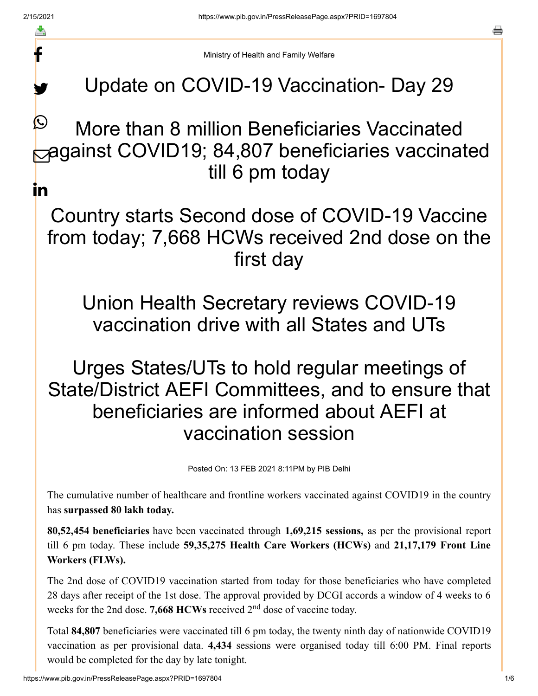f

y.

a

Ministry of Health and Family Welfare

## Update on COVID-19 Vaccination- Day 29

## More than 8 million Beneficiaries Vaccinated against COVID19; 84,807 beneficiaries vaccinated till 6 pm today  $\bigcirc$ in

Country starts Second dose of COVID-19 Vaccine from today; 7,668 HCWs received 2nd dose on the first day

Union Health Secretary reviews COVID-19 vaccination drive with all States and UTs

## Urges States/UTs to hold regular meetings of State/District AEFI Committees, and to ensure that beneficiaries are informed about AEFI at vaccination session

Posted On: 13 FEB 2021 8:11PM by PIB Delhi

The cumulative number of healthcare and frontline workers vaccinated against COVID19 in the country has **surpassed 80 lakh today.**

**80,52,454 beneficiaries** have been vaccinated through **1,69,215 sessions,** as per the provisional report till 6 pm today. These include **59,35,275 Health Care Workers (HCWs)** and **21,17,179 Front Line Workers (FLWs).**

The 2nd dose of COVID19 vaccination started from today for those beneficiaries who have completed 28 days after receipt of the 1st dose. The approval provided by DCGI accords a window of 4 weeks to 6 weeks for the 2nd dose. 7,668 HCWs received 2<sup>nd</sup> dose of vaccine today.

Total **84,807** beneficiaries were vaccinated till 6 pm today, the twenty ninth day of nationwide COVID19 vaccination as per provisional data. **4,434** sessions were organised today till 6:00 PM. Final reports would be completed for the day by late tonight.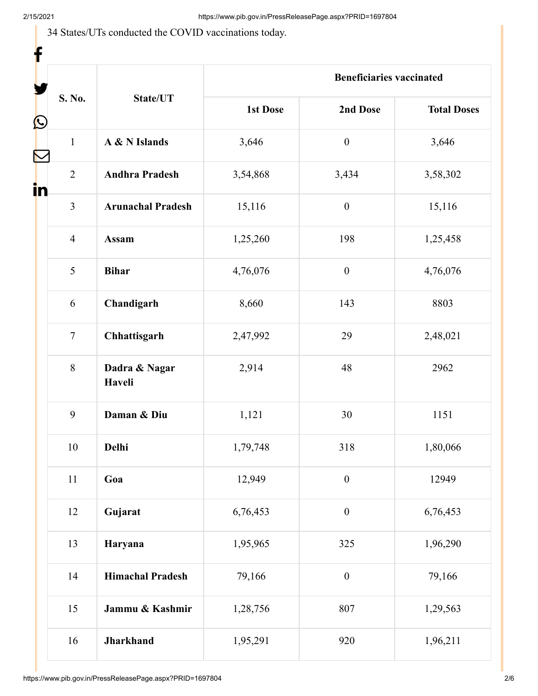34 States/UTs conducted the COVID vaccinations today.

| f                 |                |                          |                                 |                  |                    |
|-------------------|----------------|--------------------------|---------------------------------|------------------|--------------------|
|                   |                | State/UT                 | <b>Beneficiaries vaccinated</b> |                  |                    |
| $\mathbf{\Omega}$ | S. No.         |                          | <b>1st Dose</b>                 | 2nd Dose         | <b>Total Doses</b> |
|                   | $\mathbf{1}$   | A & N Islands            | 3,646                           | $\boldsymbol{0}$ | 3,646              |
| in                | $\overline{2}$ | <b>Andhra Pradesh</b>    | 3,54,868                        | 3,434            | 3,58,302           |
|                   | 3              | <b>Arunachal Pradesh</b> | 15,116                          | $\boldsymbol{0}$ | 15,116             |
|                   | $\overline{4}$ | <b>Assam</b>             | 1,25,260                        | 198              | 1,25,458           |
|                   | 5              | <b>Bihar</b>             | 4,76,076                        | $\boldsymbol{0}$ | 4,76,076           |
|                   | 6              | Chandigarh               | 8,660                           | 143              | 8803               |
|                   | $\overline{7}$ | Chhattisgarh             | 2,47,992                        | 29               | 2,48,021           |
|                   | 8              | Dadra & Nagar<br>Haveli  | 2,914                           | 48               | 2962               |
|                   | 9              | Daman & Diu              | 1,121                           | 30               | 1151               |
|                   | $10\,$         | Delhi                    | 1,79,748                        | 318              | 1,80,066           |
|                   | $11\,$         | Goa                      | 12,949                          | $\boldsymbol{0}$ | 12949              |
|                   | 12             | Gujarat                  | 6,76,453                        | $\boldsymbol{0}$ | 6,76,453           |
|                   | 13             | Haryana                  | 1,95,965                        | 325              | 1,96,290           |
|                   | 14             | <b>Himachal Pradesh</b>  | 79,166                          | $\boldsymbol{0}$ | 79,166             |
|                   | 15             | Jammu & Kashmir          | 1,28,756                        | 807              | 1,29,563           |
|                   | 16             | Jharkhand                | 1,95,291                        | 920              | 1,96,211           |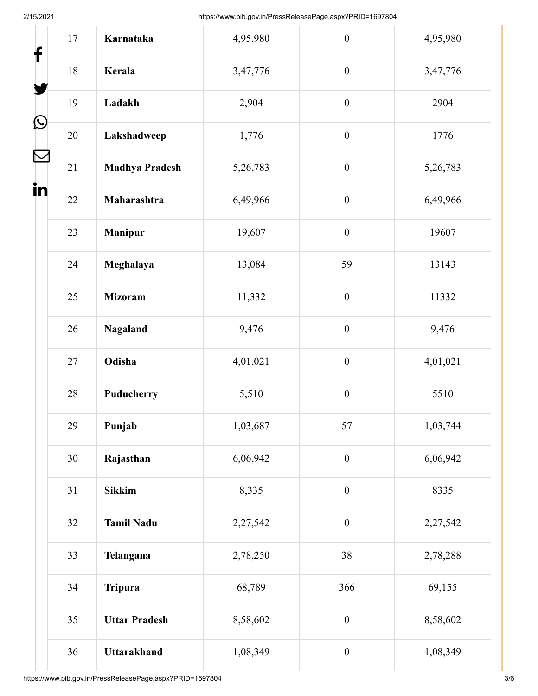| f                 | 17     | Karnataka             | 4,95,980 | $\boldsymbol{0}$ | 4,95,980 |
|-------------------|--------|-----------------------|----------|------------------|----------|
|                   | $18\,$ | Kerala                | 3,47,776 | $\overline{0}$   | 3,47,776 |
|                   | 19     | Ladakh                | 2,904    | $\boldsymbol{0}$ | 2904     |
| $\mathbf{\Omega}$ | 20     | Lakshadweep           | 1,776    | $\boldsymbol{0}$ | 1776     |
|                   | 21     | <b>Madhya Pradesh</b> | 5,26,783 | $\mathbf{0}$     | 5,26,783 |
| in                | 22     | Maharashtra           | 6,49,966 | $\boldsymbol{0}$ | 6,49,966 |
|                   | 23     | <b>Manipur</b>        | 19,607   | $\boldsymbol{0}$ | 19607    |
|                   | 24     | Meghalaya             | 13,084   | 59               | 13143    |
|                   | 25     | <b>Mizoram</b>        | 11,332   | $\boldsymbol{0}$ | 11332    |
|                   | 26     | Nagaland              | 9,476    | $\boldsymbol{0}$ | 9,476    |
|                   | 27     | Odisha                | 4,01,021 | $\boldsymbol{0}$ | 4,01,021 |
|                   | 28     | Puducherry            | 5,510    | $\boldsymbol{0}$ | 5510     |
|                   | 29     | Punjab                | 1,03,687 | 57               | 1,03,744 |
|                   | 30     | Rajasthan             | 6,06,942 | $\boldsymbol{0}$ | 6,06,942 |
|                   | 31     | <b>Sikkim</b>         | 8,335    | $\boldsymbol{0}$ | 8335     |
|                   | 32     | <b>Tamil Nadu</b>     | 2,27,542 | $\boldsymbol{0}$ | 2,27,542 |
|                   | 33     | Telangana             | 2,78,250 | 38               | 2,78,288 |
|                   | 34     | <b>Tripura</b>        | 68,789   | 366              | 69,155   |
|                   | 35     | <b>Uttar Pradesh</b>  | 8,58,602 | $\boldsymbol{0}$ | 8,58,602 |
|                   | 36     | <b>Uttarakhand</b>    | 1,08,349 | $\boldsymbol{0}$ | 1,08,349 |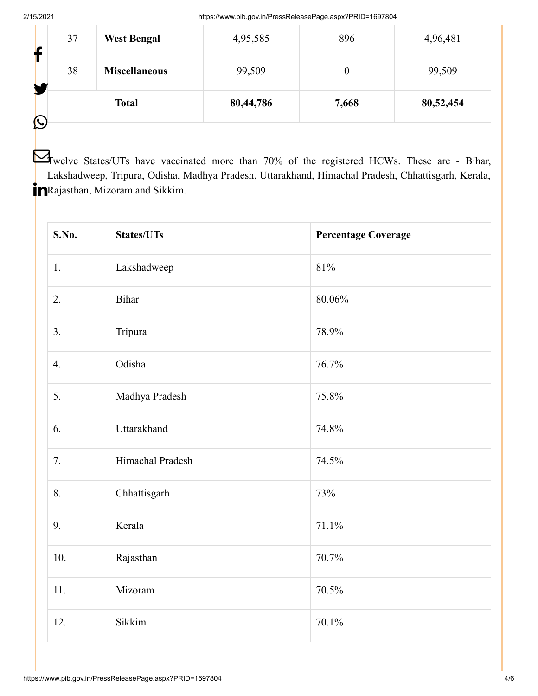|   | 37 | <b>West Bengal</b>   | 4,95,585  | 896   | 4,96,481  |
|---|----|----------------------|-----------|-------|-----------|
|   | 38 | <b>Miscellaneous</b> | 99,509    | 0     | 99,509    |
| C |    | <b>Total</b>         | 80,44,786 | 7,668 | 80,52,454 |

**T**welve States/UTs have vaccinated more than 70% of the registered HCWs. These are - Bihar, Lakshadweep, Tripura, Odisha, Madhya Pradesh, Uttarakhand, Himachal Pradesh, Chhattisgarh, Kerala, **P**Rajasthan, Mizoram and Sikkim.

| S.No. | <b>States/UTs</b> | <b>Percentage Coverage</b> |
|-------|-------------------|----------------------------|
| 1.    | Lakshadweep       | $81\%$                     |
| 2.    | Bihar             | $80.06\%$                  |
| 3.    | Tripura           | 78.9%                      |
| 4.    | Odisha            | 76.7%                      |
| 5.    | Madhya Pradesh    | 75.8%                      |
| 6.    | Uttarakhand       | 74.8%                      |
| 7.    | Himachal Pradesh  | 74.5%                      |
| 8.    | Chhattisgarh      | 73%                        |
| 9.    | Kerala            | 71.1%                      |
| 10.   | Rajasthan         | 70.7%                      |
| 11.   | Mizoram           | 70.5%                      |
| 12.   | Sikkim            | 70.1%                      |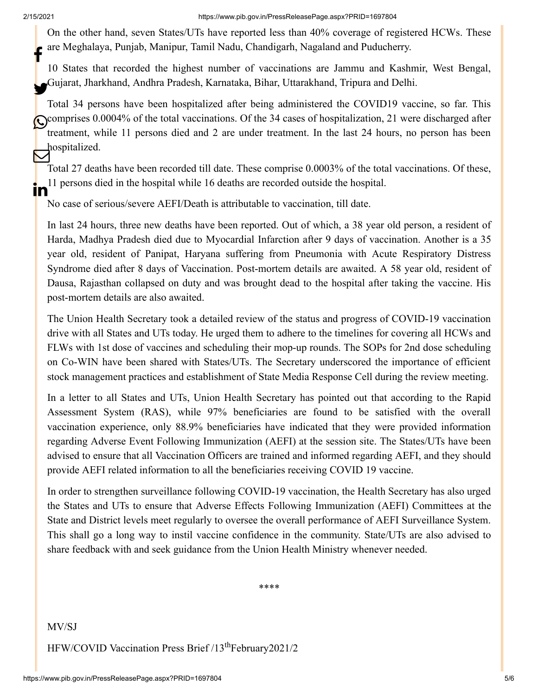On the other hand, seven States/UTs have reported less than 40% coverage of registered HCWs. These are Meghalaya, Punjab, Manipur, Tamil Nadu, Chandigarh, Nagaland and Puducherry. f

10 States that recorded the highest number of vaccinations are Jammu and Kashmir, West Bengal, Gujarat, Jharkhand, Andhra Pradesh, Karnataka, Bihar, Uttarakhand, Tripura and Delhi.

Total 34 persons have been hospitalized after being administered the COVID19 vaccine, so far. This Comprises 0.0004% of the total vaccinations. Of the 34 cases of hospitalization, 21 were discharged after treatment, while 11 persons died and 2 are under treatment. In the last 24 hours, no person has been hospitalized.  $\bm{\nabla}$ 

Total 27 deaths have been recorded till date. These comprise 0.0003% of the total vaccinations. Of these, 11 persons died in the hospital while 16 deaths are recorded outside the hospital. ın

No case of serious/severe AEFI/Death is attributable to vaccination, till date.

In last 24 hours, three new deaths have been reported. Out of which, a 38 year old person, a resident of Harda, Madhya Pradesh died due to Myocardial Infarction after 9 days of vaccination. Another is a 35 year old, resident of Panipat, Haryana suffering from Pneumonia with Acute Respiratory Distress Syndrome died after 8 days of Vaccination. Post-mortem details are awaited. A 58 year old, resident of Dausa, Rajasthan collapsed on duty and was brought dead to the hospital after taking the vaccine. His post-mortem details are also awaited.

The Union Health Secretary took a detailed review of the status and progress of COVID-19 vaccination drive with all States and UTs today. He urged them to adhere to the timelines for covering all HCWs and FLWs with 1st dose of vaccines and scheduling their mop-up rounds. The SOPs for 2nd dose scheduling on Co-WIN have been shared with States/UTs. The Secretary underscored the importance of efficient stock management practices and establishment of State Media Response Cell during the review meeting.

In a letter to all States and UTs, Union Health Secretary has pointed out that according to the Rapid Assessment System (RAS), while 97% beneficiaries are found to be satisfied with the overall vaccination experience, only 88.9% beneficiaries have indicated that they were provided information regarding Adverse Event Following Immunization (AEFI) at the session site. The States/UTs have been advised to ensure that all Vaccination Officers are trained and informed regarding AEFI, and they should provide AEFI related information to all the beneficiaries receiving COVID 19 vaccine.

In order to strengthen surveillance following COVID-19 vaccination, the Health Secretary has also urged the States and UTs to ensure that Adverse Effects Following Immunization (AEFI) Committees at the State and District levels meet regularly to oversee the overall performance of AEFI Surveillance System. This shall go a long way to instil vaccine confidence in the community. State/UTs are also advised to share feedback with and seek guidance from the Union Health Ministry whenever needed.

\*\*\*\*

MV/SJ

HFW/COVID Vaccination Press Brief /13<sup>th</sup>February2021/2